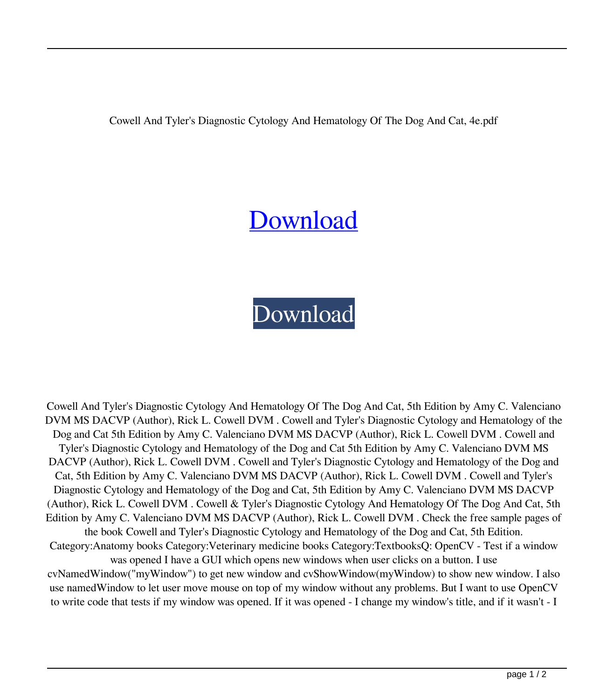Cowell And Tyler's Diagnostic Cytology And Hematology Of The Dog And Cat, 4e.pdf

## **[Download](http://evacdir.com/neuroscientist?Q293ZWxsIEFuZCBUeWxlcidzIERpYWdub3N0aWMgQ3l0b2xvZ3kgQW5kIEhlbWF0b2xvZ3kgT2YgVGhlIERvZyBBbmQgQ2F0LCA0ZS5wZGYQ29=endowed.ZG93bmxvYWR8bXo3TVdkc2NIeDhNVFkxTWpjME1EZzJObng4TWpVM05IeDhLRTBwSUhKbFlXUXRZbXh2WnlCYlJtRnpkQ0JIUlU1ZA.jointsealer&monotonous=saxo&chandeliered)**

## [Download](http://evacdir.com/neuroscientist?Q293ZWxsIEFuZCBUeWxlcidzIERpYWdub3N0aWMgQ3l0b2xvZ3kgQW5kIEhlbWF0b2xvZ3kgT2YgVGhlIERvZyBBbmQgQ2F0LCA0ZS5wZGYQ29=endowed.ZG93bmxvYWR8bXo3TVdkc2NIeDhNVFkxTWpjME1EZzJObng4TWpVM05IeDhLRTBwSUhKbFlXUXRZbXh2WnlCYlJtRnpkQ0JIUlU1ZA.jointsealer&monotonous=saxo&chandeliered)

Cowell And Tyler's Diagnostic Cytology And Hematology Of The Dog And Cat, 5th Edition by Amy C. Valenciano DVM MS DACVP (Author), Rick L. Cowell DVM . Cowell and Tyler's Diagnostic Cytology and Hematology of the Dog and Cat 5th Edition by Amy C. Valenciano DVM MS DACVP (Author), Rick L. Cowell DVM . Cowell and Tyler's Diagnostic Cytology and Hematology of the Dog and Cat 5th Edition by Amy C. Valenciano DVM MS DACVP (Author), Rick L. Cowell DVM . Cowell and Tyler's Diagnostic Cytology and Hematology of the Dog and Cat, 5th Edition by Amy C. Valenciano DVM MS DACVP (Author), Rick L. Cowell DVM . Cowell and Tyler's Diagnostic Cytology and Hematology of the Dog and Cat, 5th Edition by Amy C. Valenciano DVM MS DACVP (Author), Rick L. Cowell DVM . Cowell & Tyler's Diagnostic Cytology And Hematology Of The Dog And Cat, 5th Edition by Amy C. Valenciano DVM MS DACVP (Author), Rick L. Cowell DVM . Check the free sample pages of the book Cowell and Tyler's Diagnostic Cytology and Hematology of the Dog and Cat, 5th Edition. Category:Anatomy books Category:Veterinary medicine books Category:TextbooksQ: OpenCV - Test if a window was opened I have a GUI which opens new windows when user clicks on a button. I use cvNamedWindow("myWindow") to get new window and cvShowWindow(myWindow) to show new window. I also use namedWindow to let user move mouse on top of my window without any problems. But I want to use OpenCV to write code that tests if my window was opened. If it was opened - I change my window's title, and if it wasn't - I